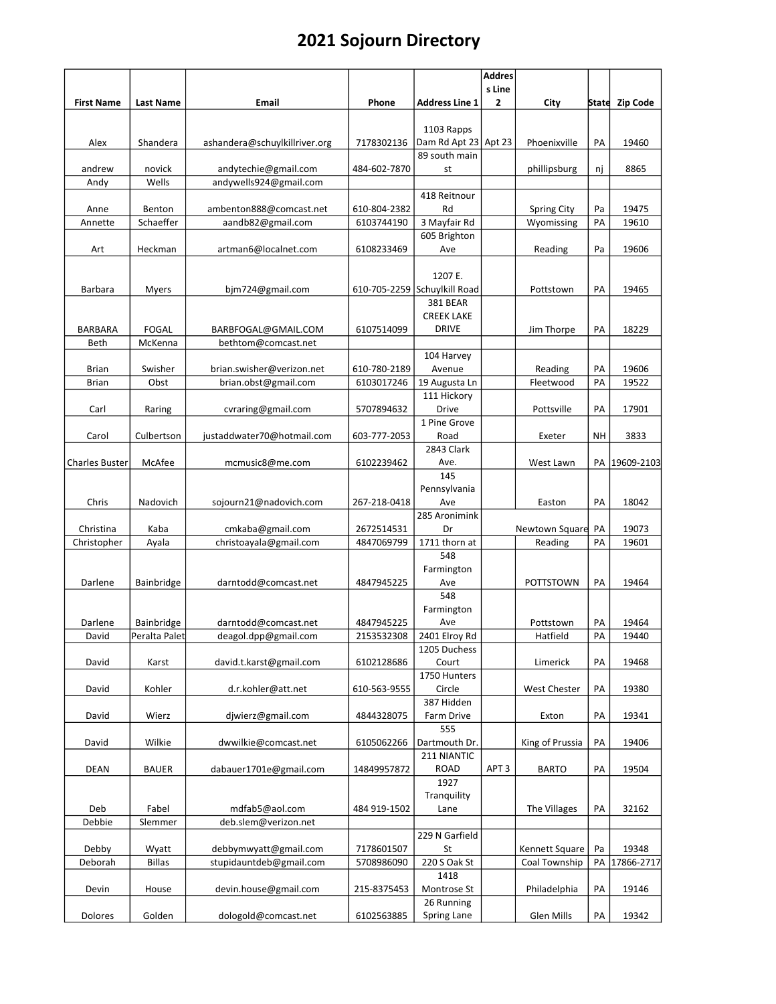|                       |                     |                                              |                            |                              | <b>Addres</b>    |                                  |          |                |
|-----------------------|---------------------|----------------------------------------------|----------------------------|------------------------------|------------------|----------------------------------|----------|----------------|
|                       |                     |                                              |                            | <b>Address Line 1</b>        | s Line           |                                  |          |                |
| <b>First Name</b>     | <b>Last Name</b>    | Email                                        | Phone                      |                              | 2                | City                             |          | State Zip Code |
|                       |                     |                                              |                            | 1103 Rapps                   |                  |                                  |          |                |
| Alex                  | Shandera            | ashandera@schuylkillriver.org                | 7178302136                 | Dam Rd Apt 23 Apt 23         |                  | Phoenixville                     | PA       | 19460          |
|                       |                     |                                              |                            | 89 south main                |                  |                                  |          |                |
| andrew                | novick              | andytechie@gmail.com                         | 484-602-7870               | st                           |                  | phillipsburg                     | nj       | 8865           |
| Andy                  | Wells               | andywells924@gmail.com                       |                            |                              |                  |                                  |          |                |
|                       |                     |                                              |                            | 418 Reitnour                 |                  |                                  |          |                |
| Anne<br>Annette       | Benton<br>Schaeffer | ambenton888@comcast.net<br>aandb82@gmail.com | 610-804-2382<br>6103744190 | Rd<br>3 Mayfair Rd           |                  | <b>Spring City</b><br>Wyomissing | Pa<br>PA | 19475<br>19610 |
|                       |                     |                                              |                            | 605 Brighton                 |                  |                                  |          |                |
| Art                   | Heckman             | artman6@localnet.com                         | 6108233469                 | Ave                          |                  | Reading                          | Pa       | 19606          |
|                       |                     |                                              |                            |                              |                  |                                  |          |                |
|                       |                     |                                              |                            | 1207 E.                      |                  |                                  |          |                |
| Barbara               | Myers               | bjm724@gmail.com                             |                            | 610-705-2259 Schuylkill Road |                  | Pottstown                        | PA       | 19465          |
|                       |                     |                                              |                            | <b>381 BEAR</b>              |                  |                                  |          |                |
|                       |                     |                                              |                            | <b>CREEK LAKE</b>            |                  |                                  |          |                |
| <b>BARBARA</b>        | FOGAL               | BARBFOGAL@GMAIL.COM                          | 6107514099                 | <b>DRIVE</b>                 |                  | Jim Thorpe                       | PA       | 18229          |
| Beth                  | McKenna             | bethtom@comcast.net                          |                            |                              |                  |                                  |          |                |
| Brian                 | Swisher             | brian.swisher@verizon.net                    | 610-780-2189               | 104 Harvey<br>Avenue         |                  | Reading                          | PA       | 19606          |
| <b>Brian</b>          | Obst                | brian.obst@gmail.com                         | 6103017246                 | 19 Augusta Ln                |                  | Fleetwood                        | PA       | 19522          |
|                       |                     |                                              |                            | 111 Hickory                  |                  |                                  |          |                |
| Carl                  | Raring              | cvraring@gmail.com                           | 5707894632                 | Drive                        |                  | Pottsville                       | PA       | 17901          |
|                       |                     |                                              |                            | 1 Pine Grove                 |                  |                                  |          |                |
| Carol                 | Culbertson          | justaddwater70@hotmail.com                   | 603-777-2053               | Road                         |                  | Exeter                           | NΗ       | 3833           |
|                       |                     |                                              |                            | 2843 Clark                   |                  |                                  |          |                |
| <b>Charles Buster</b> | McAfee              | mcmusic8@me.com                              | 6102239462                 | Ave.                         |                  | West Lawn                        | PA       | 19609-2103     |
|                       |                     |                                              |                            | 145                          |                  |                                  |          |                |
|                       |                     |                                              |                            | Pennsylvania                 |                  |                                  |          |                |
| Chris                 | Nadovich            | sojourn21@nadovich.com                       | 267-218-0418               | Ave<br>285 Aronimink         |                  | Easton                           | PA       | 18042          |
| Christina             | Kaba                | cmkaba@gmail.com                             | 2672514531                 | Dr                           |                  | Newtown Square                   | PA       | 19073          |
| Christopher           | Ayala               | christoayala@gmail.com                       | 4847069799                 | 1711 thorn at                |                  | Reading                          | PA       | 19601          |
|                       |                     |                                              |                            | 548                          |                  |                                  |          |                |
|                       |                     |                                              |                            | Farmington                   |                  |                                  |          |                |
| Darlene               | Bainbridge          | darntodd@comcast.net                         | 4847945225                 | Ave                          |                  | <b>POTTSTOWN</b>                 | PA       | 19464          |
|                       |                     |                                              |                            | 548                          |                  |                                  |          |                |
|                       |                     |                                              |                            | Farmington                   |                  |                                  |          |                |
| Darlene               | <b>Bainbridge</b>   | darntodd@comcast.net                         | 4847945225                 | Ave                          |                  | Pottstown                        | PA       | 19464          |
| David                 | Peralta Palet       | deagol.dpp@gmail.com                         | 2153532308                 | 2401 Elroy Rd                |                  | Hatfield                         | PA       | 19440          |
| David                 |                     |                                              | 6102128686                 | 1205 Duchess<br>Court        |                  | Limerick                         | PA       | 19468          |
|                       | Karst               | david.t.karst@gmail.com                      |                            | 1750 Hunters                 |                  |                                  |          |                |
| David                 | Kohler              | d.r.kohler@att.net                           | 610-563-9555               | Circle                       |                  | <b>West Chester</b>              | PA       | 19380          |
|                       |                     |                                              |                            | 387 Hidden                   |                  |                                  |          |                |
| David                 | Wierz               | djwierz@gmail.com                            | 4844328075                 | Farm Drive                   |                  | Exton                            | PA       | 19341          |
|                       |                     |                                              |                            | 555                          |                  |                                  |          |                |
| David                 | Wilkie              | dwwilkie@comcast.net                         | 6105062266                 | Dartmouth Dr.                |                  | King of Prussia                  | PA       | 19406          |
|                       |                     |                                              |                            | 211 NIANTIC                  |                  |                                  |          |                |
| <b>DEAN</b>           | <b>BAUER</b>        | dabauer1701e@gmail.com                       | 14849957872                | <b>ROAD</b>                  | APT <sub>3</sub> | <b>BARTO</b>                     | PA       | 19504          |
|                       |                     |                                              |                            | 1927                         |                  |                                  |          |                |
| Deb                   | Fabel               | mdfab5@aol.com                               | 484 919-1502               | Tranquility<br>Lane          |                  | The Villages                     | PA       | 32162          |
| Debbie                | Slemmer             | deb.slem@verizon.net                         |                            |                              |                  |                                  |          |                |
|                       |                     |                                              |                            | 229 N Garfield               |                  |                                  |          |                |
| Debby                 | Wyatt               | debbymwyatt@gmail.com                        | 7178601507                 | St                           |                  | Kennett Square                   | Pa       | 19348          |
| Deborah               | <b>Billas</b>       | stupidauntdeb@gmail.com                      | 5708986090                 | 220 S Oak St                 |                  | Coal Township                    | PA       | 17866-2717     |
|                       |                     |                                              |                            | 1418                         |                  |                                  |          |                |
| Devin                 | House               | devin.house@gmail.com                        | 215-8375453                | Montrose St                  |                  | Philadelphia                     | PA       | 19146          |
|                       |                     |                                              |                            | 26 Running                   |                  |                                  |          |                |
| Dolores               | Golden              | dologold@comcast.net                         | 6102563885                 | Spring Lane                  |                  | Glen Mills                       | PA       | 19342          |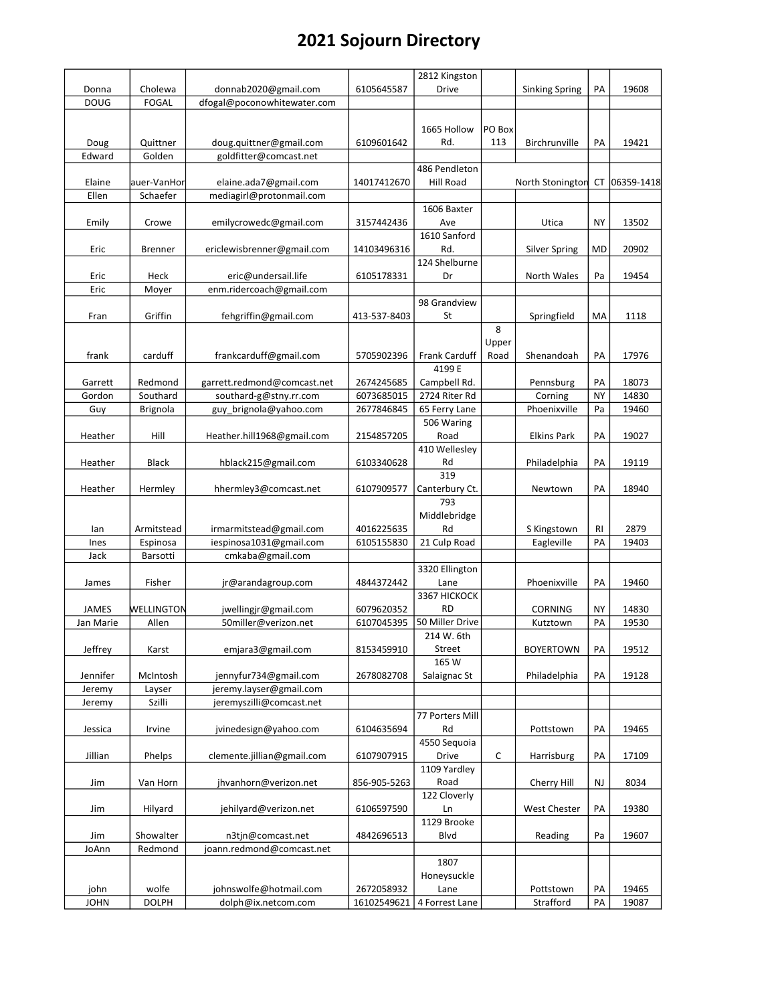|             |                 |                             |              | 2812 Kingston        |             |                       |           |            |
|-------------|-----------------|-----------------------------|--------------|----------------------|-------------|-----------------------|-----------|------------|
| Donna       | Cholewa         | donnab2020@gmail.com        | 6105645587   | Drive                |             | <b>Sinking Spring</b> | PA        | 19608      |
| <b>DOUG</b> | <b>FOGAL</b>    | dfogal@poconowhitewater.com |              |                      |             |                       |           |            |
|             |                 |                             |              |                      |             |                       |           |            |
|             |                 |                             |              | 1665 Hollow          | PO Box      |                       |           |            |
| Doug        | Quittner        | doug.quittner@gmail.com     | 6109601642   | Rd.                  | 113         | Birchrunville         | PA        | 19421      |
| Edward      | Golden          | goldfitter@comcast.net      |              |                      |             |                       |           |            |
|             |                 |                             |              | 486 Pendleton        |             |                       |           |            |
| Elaine      | auer-VanHor     | elaine.ada7@gmail.com       | 14017412670  | Hill Road            |             | North Stonington      | СT        | 06359-1418 |
| Ellen       | Schaefer        | mediagirl@protonmail.com    |              |                      |             |                       |           |            |
|             |                 |                             |              | 1606 Baxter          |             |                       |           |            |
|             |                 |                             | 3157442436   | Ave                  |             |                       | <b>NY</b> |            |
| Emily       | Crowe           | emilycrowedc@gmail.com      |              |                      |             | Utica                 |           | 13502      |
|             |                 |                             |              | 1610 Sanford         |             |                       |           |            |
| Eric        | <b>Brenner</b>  | ericlewisbrenner@gmail.com  | 14103496316  | Rd.                  |             | Silver Spring         | MD        | 20902      |
|             |                 |                             |              | 124 Shelburne        |             |                       |           |            |
| Eric        | Heck            | eric@undersail.life         | 6105178331   | Dr                   |             | North Wales           | Pa        | 19454      |
| Eric        | Moyer           | enm.ridercoach@gmail.com    |              |                      |             |                       |           |            |
|             |                 |                             |              | 98 Grandview         |             |                       |           |            |
| Fran        | Griffin         | fehgriffin@gmail.com        | 413-537-8403 | St                   |             | Springfield           | MA        | 1118       |
|             |                 |                             |              |                      | 8           |                       |           |            |
|             |                 |                             |              |                      | Upper       |                       |           |            |
| frank       | carduff         | frankcarduff@gmail.com      | 5705902396   | <b>Frank Carduff</b> | Road        | Shenandoah            | PA        | 17976      |
|             |                 |                             |              | 4199 E               |             |                       |           |            |
| Garrett     | Redmond         | garrett.redmond@comcast.net | 2674245685   | Campbell Rd.         |             | Pennsburg             | PA        | 18073      |
| Gordon      | Southard        | southard-g@stny.rr.com      | 6073685015   | 2724 Riter Rd        |             | Corning               | <b>NY</b> | 14830      |
| Guy         |                 | guy_brignola@yahoo.com      | 2677846845   |                      |             | Phoenixville          | Pa        | 19460      |
|             | <b>Brignola</b> |                             |              | 65 Ferry Lane        |             |                       |           |            |
|             |                 |                             |              | 506 Waring           |             |                       |           |            |
| Heather     | Hill            | Heather.hill1968@gmail.com  | 2154857205   | Road                 |             | <b>Elkins Park</b>    | PA        | 19027      |
|             |                 |                             |              | 410 Wellesley        |             |                       |           |            |
| Heather     | Black           | hblack215@gmail.com         | 6103340628   | Rd                   |             | Philadelphia          | PA        | 19119      |
|             |                 |                             |              | 319                  |             |                       |           |            |
| Heather     | Hermley         | hhermley3@comcast.net       | 6107909577   | Canterbury Ct.       |             | Newtown               | PA        | 18940      |
|             |                 |                             |              | 793                  |             |                       |           |            |
|             |                 |                             |              | Middlebridge         |             |                       |           |            |
| lan         | Armitstead      | irmarmitstead@gmail.com     | 4016225635   | Rd                   |             | S Kingstown           | RI        | 2879       |
| Ines        | Espinosa        | iespinosa1031@gmail.com     | 6105155830   | 21 Culp Road         |             | Eagleville            | PA        | 19403      |
| Jack        | Barsotti        | cmkaba@gmail.com            |              |                      |             |                       |           |            |
|             |                 |                             |              | 3320 Ellington       |             |                       |           |            |
| James       | Fisher          | jr@arandagroup.com          | 4844372442   | Lane                 |             | Phoenixville          | PA        | 19460      |
|             |                 |                             |              | 3367 HICKOCK         |             |                       |           |            |
| JAMES       | WELLINGTON      | jwellingjr@gmail.com        | 6079620352   | <b>RD</b>            |             | <b>CORNING</b>        | <b>NY</b> | 14830      |
| Jan Marie   | Allen           | 50miller@verizon.net        | 6107045395   | 50 Miller Drive      |             | Kutztown              | PA        | 19530      |
|             |                 |                             |              |                      |             |                       |           |            |
|             |                 |                             |              | 214 W. 6th           |             |                       |           |            |
| Jeffrey     | Karst           | emjara3@gmail.com           | 8153459910   | Street               |             | <b>BOYERTOWN</b>      | PA        | 19512      |
|             |                 |                             |              | 165 W                |             |                       |           |            |
| Jennifer    | McIntosh        | jennyfur734@gmail.com       | 2678082708   | Salaignac St         |             | Philadelphia          | PA        | 19128      |
| Jeremy      | Layser          | jeremy.layser@gmail.com     |              |                      |             |                       |           |            |
| Jeremy      | Szilli          | jeremyszilli@comcast.net    |              |                      |             |                       |           |            |
|             |                 |                             |              | 77 Porters Mill      |             |                       |           |            |
| Jessica     | Irvine          | jvinedesign@yahoo.com       | 6104635694   | Rd                   |             | Pottstown             | PA        | 19465      |
|             |                 |                             |              | 4550 Sequoia         |             |                       |           |            |
| Jillian     | Phelps          | clemente.jillian@gmail.com  | 6107907915   | Drive                | $\mathsf C$ | Harrisburg            | PA        | 17109      |
|             |                 |                             |              | 1109 Yardley         |             |                       |           |            |
| Jim         | Van Horn        | jhvanhorn@verizon.net       | 856-905-5263 | Road                 |             | Cherry Hill           | NJ        | 8034       |
|             |                 |                             |              | 122 Cloverly         |             |                       |           |            |
| Jim         | Hilyard         | jehilyard@verizon.net       | 6106597590   | Ln                   |             | <b>West Chester</b>   | PA        | 19380      |
|             |                 |                             |              | 1129 Brooke          |             |                       |           |            |
|             |                 |                             |              |                      |             |                       |           |            |
| Jim         | Showalter       | n3tjn@comcast.net           | 4842696513   | <b>Blvd</b>          |             | Reading               | Pa        | 19607      |
| JoAnn       | Redmond         | joann.redmond@comcast.net   |              |                      |             |                       |           |            |
|             |                 |                             |              | 1807                 |             |                       |           |            |
|             |                 |                             |              | Honeysuckle          |             |                       |           |            |
| john        | wolfe           | johnswolfe@hotmail.com      | 2672058932   | Lane                 |             | Pottstown             | PA        | 19465      |
| <b>JOHN</b> | <b>DOLPH</b>    | dolph@ix.netcom.com         | 16102549621  | 4 Forrest Lane       |             | Strafford             | PA        | 19087      |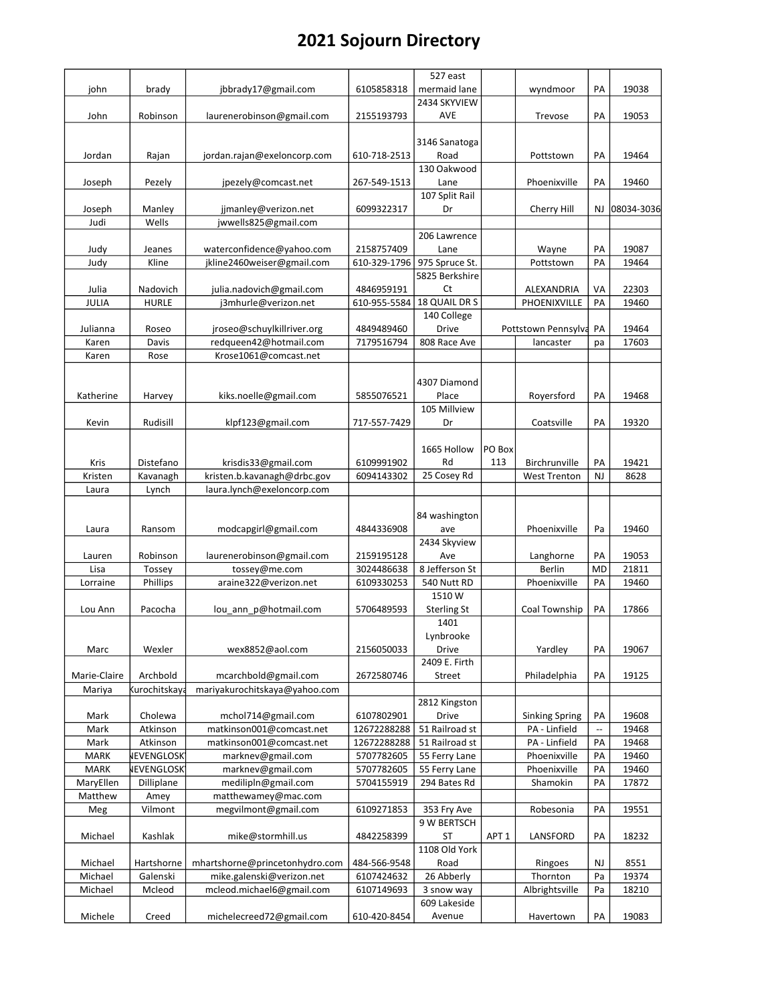|              |                   |                                |              | 527 east           |                  |                       |                          |            |
|--------------|-------------------|--------------------------------|--------------|--------------------|------------------|-----------------------|--------------------------|------------|
| john         | brady             | jbbrady17@gmail.com            | 6105858318   | mermaid lane       |                  | wyndmoor              | PA                       | 19038      |
|              |                   |                                |              | 2434 SKYVIEW       |                  |                       |                          |            |
| John         | Robinson          | laurenerobinson@gmail.com      | 2155193793   | AVE                |                  | Trevose               | PA                       | 19053      |
|              |                   |                                |              |                    |                  |                       |                          |            |
|              |                   |                                |              | 3146 Sanatoga      |                  |                       |                          |            |
| Jordan       | Rajan             | jordan.rajan@exeloncorp.com    | 610-718-2513 | Road               |                  | Pottstown             | PA                       | 19464      |
|              |                   |                                |              | 130 Oakwood        |                  |                       |                          |            |
| Joseph       | Pezely            | jpezely@comcast.net            | 267-549-1513 | Lane               |                  | Phoenixville          | PA                       | 19460      |
|              |                   |                                |              | 107 Split Rail     |                  |                       |                          |            |
| Joseph       | Manley            | jjmanley@verizon.net           | 6099322317   | Dr                 |                  | Cherry Hill           | NJ.                      | 08034-3036 |
| Judi         | Wells             | jwwells825@gmail.com           |              |                    |                  |                       |                          |            |
|              |                   |                                |              | 206 Lawrence       |                  |                       |                          |            |
|              |                   | waterconfidence@yahoo.com      |              |                    |                  |                       | PA                       | 19087      |
| Judy         | Jeanes            |                                | 2158757409   | Lane               |                  | Wayne                 |                          |            |
| Judy         | Kline             | jkline2460weiser@gmail.com     | 610-329-1796 | 975 Spruce St.     |                  | Pottstown             | PA                       | 19464      |
|              |                   |                                |              | 5825 Berkshire     |                  |                       |                          |            |
| Julia        | Nadovich          | julia.nadovich@gmail.com       | 4846959191   | Ct                 |                  | ALEXANDRIA            | VA                       | 22303      |
| JULIA        | <b>HURLE</b>      | j3mhurle@verizon.net           | 610-955-5584 | 18 QUAIL DR S      |                  | PHOENIXVILLE          | PA                       | 19460      |
|              |                   |                                |              | 140 College        |                  |                       |                          |            |
| Julianna     | Roseo             | jroseo@schuylkillriver.org     | 4849489460   | Drive              |                  | Pottstown Pennsylva   | PA                       | 19464      |
| Karen        | Davis             | redqueen42@hotmail.com         | 7179516794   | 808 Race Ave       |                  | lancaster             | pa                       | 17603      |
| Karen        | Rose              | Krose1061@comcast.net          |              |                    |                  |                       |                          |            |
|              |                   |                                |              |                    |                  |                       |                          |            |
|              |                   |                                |              | 4307 Diamond       |                  |                       |                          |            |
| Katherine    | Harvey            | kiks.noelle@gmail.com          | 5855076521   | Place              |                  | Royersford            | PA                       | 19468      |
|              |                   |                                |              | 105 Millview       |                  |                       |                          |            |
| Kevin        | Rudisill          | klpf123@gmail.com              | 717-557-7429 | Dr                 |                  | Coatsville            | PA                       | 19320      |
|              |                   |                                |              |                    |                  |                       |                          |            |
|              |                   |                                |              |                    | PO Box           |                       |                          |            |
|              |                   |                                |              | 1665 Hollow        |                  |                       |                          |            |
| Kris         | Distefano         | krisdis33@gmail.com            | 6109991902   | Rd                 | 113              | Birchrunville         | PA                       | 19421      |
| Kristen      | Kavanagh          | kristen.b.kavanagh@drbc.gov    | 6094143302   | 25 Cosey Rd        |                  | <b>West Trenton</b>   | <b>NJ</b>                | 8628       |
| Laura        | Lynch             | laura.lynch@exeloncorp.com     |              |                    |                  |                       |                          |            |
|              |                   |                                |              |                    |                  |                       |                          |            |
|              |                   |                                |              | 84 washington      |                  |                       |                          |            |
| Laura        | Ransom            | modcapgirl@gmail.com           | 4844336908   | ave                |                  | Phoenixville          | Pa                       | 19460      |
|              |                   |                                |              | 2434 Skyview       |                  |                       |                          |            |
| Lauren       | Robinson          | laurenerobinson@gmail.com      | 2159195128   | Ave                |                  | Langhorne             | PA                       | 19053      |
| Lisa         | Tossey            | tossey@me.com                  | 3024486638   | 8 Jefferson St     |                  | Berlin                | <b>MD</b>                | 21811      |
| Lorraine     | Phillips          | araine322@verizon.net          | 6109330253   | 540 Nutt RD        |                  | Phoenixville          | PA                       | 19460      |
|              |                   |                                |              | 1510W              |                  |                       |                          |            |
| Lou Ann      | Pacocha           | lou ann p@hotmail.com          | 5706489593   | <b>Sterling St</b> |                  | Coal Township         | PA                       | 17866      |
|              |                   |                                |              | 1401               |                  |                       |                          |            |
|              |                   |                                |              |                    |                  |                       |                          |            |
|              |                   |                                |              | Lynbrooke          |                  |                       |                          |            |
| Marc         | Wexler            | wex8852@aol.com                | 2156050033   | Drive              |                  | Yardley               | PA                       | 19067      |
|              |                   |                                |              | 2409 E. Firth      |                  |                       |                          |            |
| Marie-Claire | Archbold          | mcarchbold@gmail.com           | 2672580746   | Street             |                  | Philadelphia          | PA                       | 19125      |
| Mariya       | Kurochitskaya     | mariyakurochitskaya@yahoo.com  |              |                    |                  |                       |                          |            |
|              |                   |                                |              | 2812 Kingston      |                  |                       |                          |            |
| Mark         | Cholewa           | mchol714@gmail.com             | 6107802901   | Drive              |                  | <b>Sinking Spring</b> | PA                       | 19608      |
| Mark         | Atkinson          | matkinson001@comcast.net       | 12672288288  | 51 Railroad st     |                  | PA - Linfield         | $\overline{\phantom{a}}$ | 19468      |
| Mark         | Atkinson          | matkinson001@comcast.net       | 12672288288  | 51 Railroad st     |                  | PA - Linfield         | PA                       | 19468      |
| <b>MARK</b>  | <b>NEVENGLOSK</b> | marknev@gmail.com              | 5707782605   | 55 Ferry Lane      |                  | Phoenixville          | PA                       | 19460      |
| <b>MARK</b>  | <b>NEVENGLOSK</b> | marknev@gmail.com              | 5707782605   | 55 Ferry Lane      |                  | Phoenixville          | PA                       | 19460      |
| MaryEllen    |                   | medilipln@gmail.com            | 5704155919   | 294 Bates Rd       |                  | Shamokin              | PA                       | 17872      |
|              | Dilliplane        |                                |              |                    |                  |                       |                          |            |
| Matthew      | Amey              | matthewamey@mac.com            |              |                    |                  |                       |                          |            |
| Meg          | Vilmont           | megvilmont@gmail.com           | 6109271853   | 353 Fry Ave        |                  | Robesonia             | PA                       | 19551      |
|              |                   |                                |              | 9 W BERTSCH        |                  |                       |                          |            |
| Michael      | Kashlak           | mike@stormhill.us              | 4842258399   | ST                 | APT <sub>1</sub> | LANSFORD              | PA                       | 18232      |
|              |                   |                                |              | 1108 Old York      |                  |                       |                          |            |
| Michael      | Hartshorne        | mhartshorne@princetonhydro.com | 484-566-9548 | Road               |                  | Ringoes               | NJ                       | 8551       |
| Michael      | Galenski          | mike.galenski@verizon.net      | 6107424632   | 26 Abberly         |                  | Thornton              | Pa                       | 19374      |
| Michael      | Mcleod            | mcleod.michael6@gmail.com      | 6107149693   | 3 snow way         |                  | Albrightsville        | Pa                       | 18210      |
|              |                   |                                |              | 609 Lakeside       |                  |                       |                          |            |
| Michele      | Creed             | michelecreed72@gmail.com       | 610-420-8454 | Avenue             |                  | Havertown             | PA                       | 19083      |
|              |                   |                                |              |                    |                  |                       |                          |            |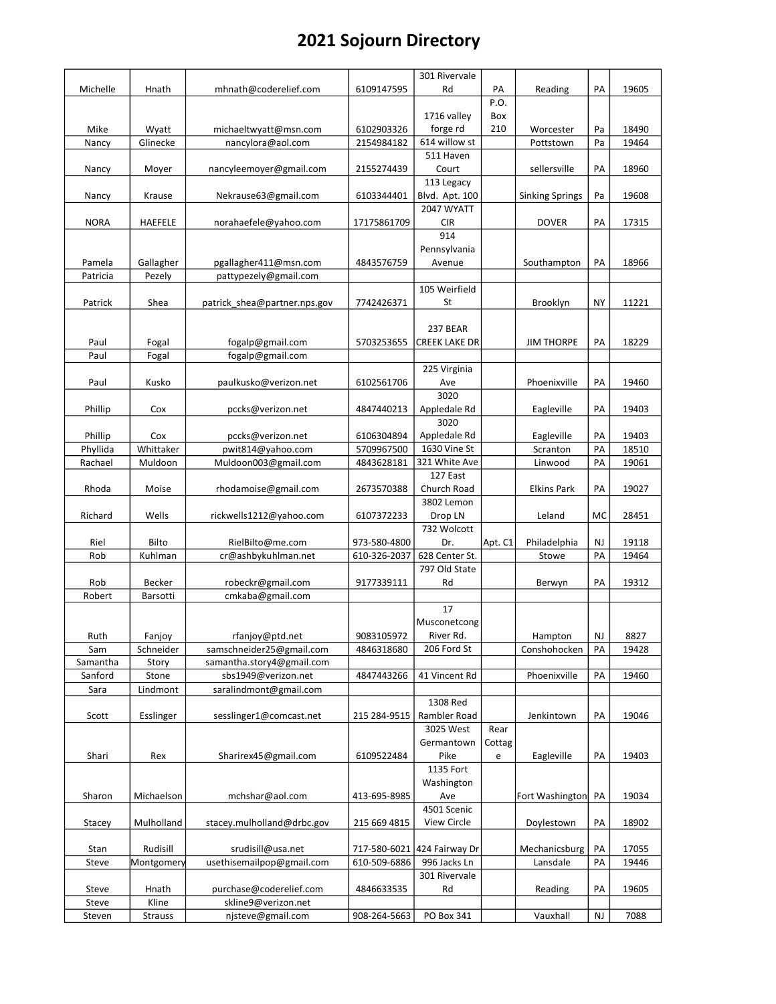|                 |                  |                                          |              | 301 Rivervale        |         |                        |           |       |
|-----------------|------------------|------------------------------------------|--------------|----------------------|---------|------------------------|-----------|-------|
| Michelle        | Hnath            | mhnath@coderelief.com                    | 6109147595   | Rd                   | PA      | Reading                | PA        | 19605 |
|                 |                  |                                          |              |                      | P.O.    |                        |           |       |
|                 |                  |                                          |              | 1716 valley          | Box     |                        |           |       |
| Mike            | Wyatt            | michaeltwyatt@msn.com                    | 6102903326   | forge rd             | 210     | Worcester              | Pa        | 18490 |
| Nancy           | Glinecke         | nancylora@aol.com                        | 2154984182   | 614 willow st        |         | Pottstown              | Pa        | 19464 |
|                 |                  |                                          |              | 511 Haven            |         |                        |           |       |
| Nancy           | Moyer            | nancyleemoyer@gmail.com                  | 2155274439   | Court                |         | sellersville           | PA        | 18960 |
|                 |                  |                                          |              | 113 Legacy           |         |                        |           |       |
| Nancy           | Krause           | Nekrause63@gmail.com                     | 6103344401   | Blvd. Apt. 100       |         | <b>Sinking Springs</b> | Pa        | 19608 |
|                 |                  |                                          |              | 2047 WYATT           |         |                        |           |       |
| <b>NORA</b>     | HAEFELE          | norahaefele@yahoo.com                    | 17175861709  | <b>CIR</b>           |         | <b>DOVER</b>           | PA        | 17315 |
|                 |                  |                                          |              | 914                  |         |                        |           |       |
|                 |                  |                                          |              | Pennsylvania         |         |                        |           |       |
| Pamela          | Gallagher        | pgallagher411@msn.com                    | 4843576759   | Avenue               |         | Southampton            | PA        | 18966 |
| Patricia        | Pezely           | pattypezely@gmail.com                    |              |                      |         |                        |           |       |
|                 |                  |                                          |              | 105 Weirfield        |         |                        |           |       |
| Patrick         | Shea             | patrick shea@partner.nps.gov             | 7742426371   | St                   |         | <b>Brooklyn</b>        | <b>NY</b> | 11221 |
|                 |                  |                                          |              | 237 BEAR             |         |                        |           |       |
|                 |                  |                                          |              | <b>CREEK LAKE DR</b> |         |                        | PA        | 18229 |
| Paul<br>Paul    | Fogal            | fogalp@gmail.com<br>fogalp@gmail.com     | 5703253655   |                      |         | <b>JIM THORPE</b>      |           |       |
|                 | Fogal            |                                          |              | 225 Virginia         |         |                        |           |       |
| Paul            | Kusko            | paulkusko@verizon.net                    | 6102561706   | Ave                  |         | Phoenixville           | PA        | 19460 |
|                 |                  |                                          |              | 3020                 |         |                        |           |       |
| Phillip         | Cox              | pccks@verizon.net                        | 4847440213   | Appledale Rd         |         | Eagleville             | PA        | 19403 |
|                 |                  |                                          |              | 3020                 |         |                        |           |       |
| Phillip         | Cox              | pccks@verizon.net                        | 6106304894   | Appledale Rd         |         | Eagleville             | PA        | 19403 |
| Phyllida        | Whittaker        | pwit814@yahoo.com                        | 5709967500   | 1630 Vine St         |         | Scranton               | PA        | 18510 |
| Rachael         | Muldoon          | Muldoon003@gmail.com                     | 4843628181   | 321 White Ave        |         | Linwood                | PA        | 19061 |
|                 |                  |                                          |              | 127 East             |         |                        |           |       |
| Rhoda           | Moise            | rhodamoise@gmail.com                     | 2673570388   | Church Road          |         | Elkins Park            | PA        | 19027 |
|                 |                  |                                          |              | 3802 Lemon           |         |                        |           |       |
| Richard         | Wells            | rickwells1212@yahoo.com                  | 6107372233   | Drop LN              |         | Leland                 | MC        | 28451 |
|                 |                  |                                          |              | 732 Wolcott          |         |                        |           |       |
| Riel            | Bilto            | RielBilto@me.com                         | 973-580-4800 | Dr.                  | Apt. C1 | Philadelphia           | <b>NJ</b> | 19118 |
| Rob             | Kuhlman          | cr@ashbykuhlman.net                      | 610-326-2037 | 628 Center St.       |         | Stowe                  | PA        | 19464 |
|                 |                  |                                          |              | 797 Old State        |         |                        |           |       |
| Rob             | Becker           | robeckr@gmail.com                        | 9177339111   | Rd                   |         | Berwyn                 | PA        | 19312 |
| Robert          | Barsotti         | cmkaba@gmail.com                         |              |                      |         |                        |           |       |
|                 |                  |                                          |              | 17                   |         |                        |           |       |
|                 |                  |                                          |              | Musconetcong         |         |                        |           |       |
| Ruth            | <b>Fanjoy</b>    | rfanjoy@ptd.net                          | 9083105972   | River Rd.            |         | Hampton                | NJ        | 8827  |
| Sam             | Schneider        | samschneider25@gmail.com                 | 4846318680   | 206 Ford St          |         | Conshohocken           | PA        | 19428 |
| Samantha        | Story            | samantha.story4@gmail.com                |              |                      |         |                        |           |       |
| Sanford         | Stone            | sbs1949@verizon.net                      | 4847443266   | 41 Vincent Rd        |         | Phoenixville           | PA        | 19460 |
| Sara            | Lindmont         | saralindmont@gmail.com                   |              |                      |         |                        |           |       |
|                 |                  |                                          |              | 1308 Red             |         |                        |           |       |
| Scott           | Esslinger        | sesslinger1@comcast.net                  | 215 284-9515 | Rambler Road         |         | Jenkintown             | PA        | 19046 |
|                 |                  |                                          |              | 3025 West            | Rear    |                        |           |       |
|                 |                  |                                          |              | Germantown           | Cottag  |                        |           |       |
| Shari           | Rex              | Sharirex45@gmail.com                     | 6109522484   | Pike                 | e       | Eagleville             | PA        | 19403 |
|                 |                  |                                          |              | 1135 Fort            |         |                        |           |       |
|                 |                  |                                          |              | Washington           |         |                        |           |       |
| Sharon          | Michaelson       | mchshar@aol.com                          | 413-695-8985 | Ave                  |         | Fort Washington        | PA        | 19034 |
|                 |                  |                                          |              | 4501 Scenic          |         |                        |           |       |
| Stacey          | Mulholland       | stacey.mulholland@drbc.gov               | 215 669 4815 | View Circle          |         | Doylestown             | PA        | 18902 |
|                 |                  |                                          |              |                      |         |                        |           |       |
| Stan            | Rudisill         | srudisill@usa.net                        | 717-580-6021 | 424 Fairway Dr       |         | Mechanicsburg          | PA        | 17055 |
| Steve           | Montgomery       | usethisemailpop@gmail.com                | 610-509-6886 | 996 Jacks Ln         |         | Lansdale               | PA        | 19446 |
|                 |                  |                                          |              | 301 Rivervale        |         |                        |           |       |
|                 |                  |                                          |              |                      |         |                        |           |       |
| Steve           | Hnath            | purchase@coderelief.com                  | 4846633535   | Rd                   |         | Reading                | PA        | 19605 |
| Steve<br>Steven | Kline<br>Strauss | skline9@verizon.net<br>njsteve@gmail.com | 908-264-5663 | PO Box 341           |         | Vauxhall               | NJ        | 7088  |